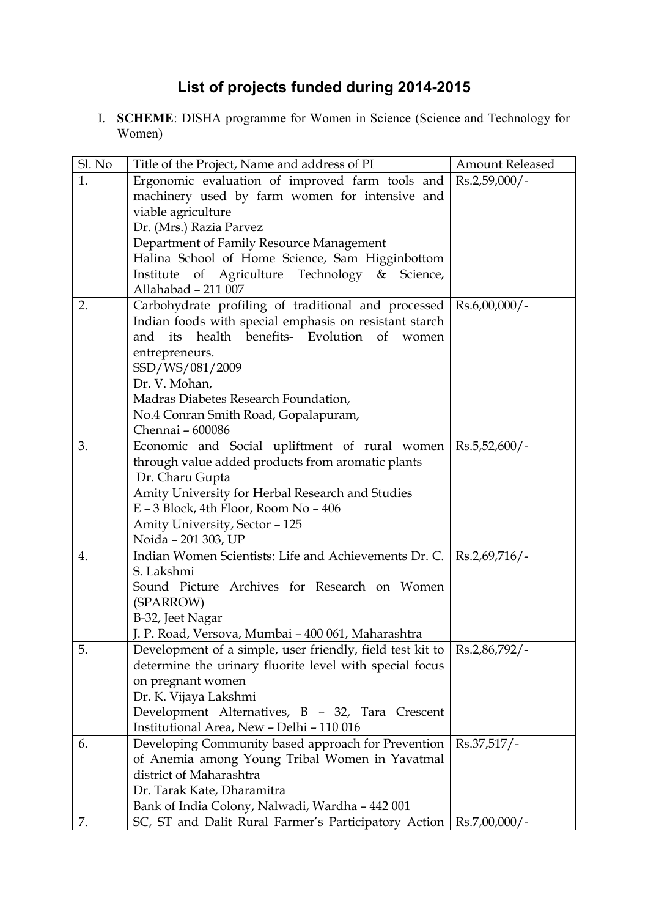## **List of projects funded during 2014-2015**

I. **SCHEME**: DISHA programme for Women in Science (Science and Technology for Women)

| Sl. No | Title of the Project, Name and address of PI              | <b>Amount Released</b> |
|--------|-----------------------------------------------------------|------------------------|
| 1.     | Ergonomic evaluation of improved farm tools and           | $Rs.2,59,000/$ -       |
|        | machinery used by farm women for intensive and            |                        |
|        | viable agriculture                                        |                        |
|        | Dr. (Mrs.) Razia Parvez                                   |                        |
|        | Department of Family Resource Management                  |                        |
|        | Halina School of Home Science, Sam Higginbottom           |                        |
|        | Institute of Agriculture Technology & Science,            |                        |
|        | Allahabad - 211 007                                       |                        |
| 2.     | Carbohydrate profiling of traditional and processed       | $Rs.6,00,000/$ -       |
|        | Indian foods with special emphasis on resistant starch    |                        |
|        | health benefits- Evolution of<br>its<br>and<br>women      |                        |
|        | entrepreneurs.                                            |                        |
|        | SSD/WS/081/2009                                           |                        |
|        | Dr. V. Mohan,                                             |                        |
|        | Madras Diabetes Research Foundation,                      |                        |
|        | No.4 Conran Smith Road, Gopalapuram,                      |                        |
|        | Chennai - 600086                                          |                        |
| 3.     | Economic and Social upliftment of rural women             | $Rs.5,52,600/$ -       |
|        | through value added products from aromatic plants         |                        |
|        | Dr. Charu Gupta                                           |                        |
|        | Amity University for Herbal Research and Studies          |                        |
|        | $E - 3$ Block, 4th Floor, Room No $-406$                  |                        |
|        | Amity University, Sector - 125                            |                        |
|        | Noida - 201 303, UP                                       |                        |
| 4.     | Indian Women Scientists: Life and Achievements Dr. C.     | $Rs.2,69,716/$ -       |
|        | S. Lakshmi                                                |                        |
|        | Sound Picture Archives for Research on Women              |                        |
|        | (SPARROW)                                                 |                        |
|        | B-32, Jeet Nagar                                          |                        |
|        | J. P. Road, Versova, Mumbai - 400 061, Maharashtra        |                        |
| 5.     | Development of a simple, user friendly, field test kit to | Rs.2,86,792/-          |
|        | determine the urinary fluorite level with special focus   |                        |
|        | on pregnant women                                         |                        |
|        | Dr. K. Vijaya Lakshmi                                     |                        |
|        | Development Alternatives, B - 32, Tara Crescent           |                        |
|        | Institutional Area, New - Delhi - 110 016                 |                        |
| 6.     | Developing Community based approach for Prevention        | $Rs.37,517/$ -         |
|        | of Anemia among Young Tribal Women in Yavatmal            |                        |
|        | district of Maharashtra                                   |                        |
|        | Dr. Tarak Kate, Dharamitra                                |                        |
|        | Bank of India Colony, Nalwadi, Wardha - 442 001           |                        |
| 7.     | SC, ST and Dalit Rural Farmer's Participatory Action      | $Rs.7,00,000/$ -       |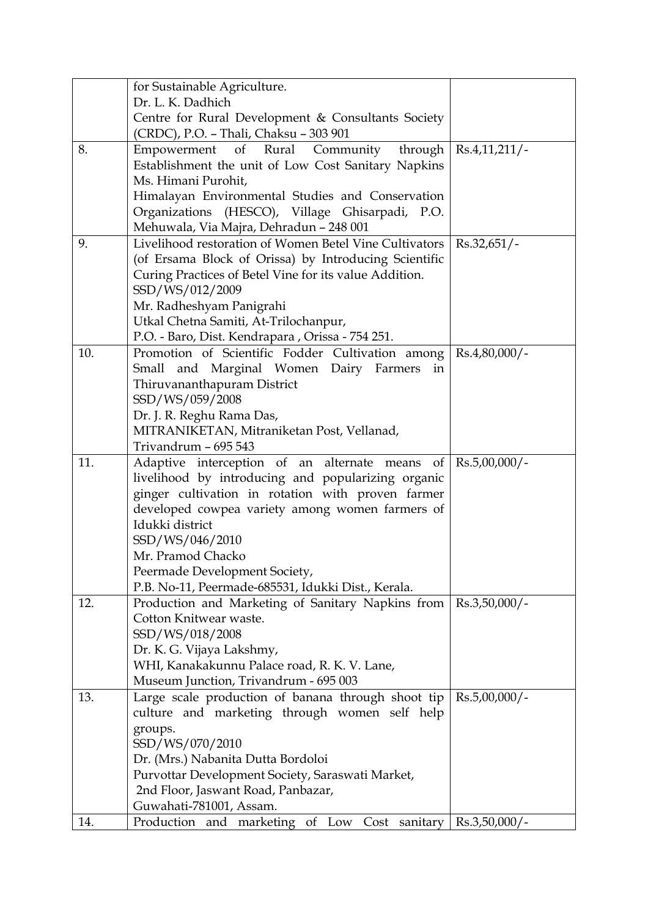|     | for Sustainable Agriculture.                                                                      |                  |
|-----|---------------------------------------------------------------------------------------------------|------------------|
|     | Dr. L. K. Dadhich                                                                                 |                  |
|     | Centre for Rural Development & Consultants Society                                                |                  |
|     | (CRDC), P.O. - Thali, Chaksu - 303 901                                                            |                  |
| 8.  | of Rural Community through<br>Empowerment                                                         | Rs.4,11,211/     |
|     | Establishment the unit of Low Cost Sanitary Napkins                                               |                  |
|     | Ms. Himani Purohit,                                                                               |                  |
|     | Himalayan Environmental Studies and Conservation                                                  |                  |
|     | Organizations (HESCO), Village Ghisarpadi, P.O.                                                   |                  |
| 9.  | Mehuwala, Via Majra, Dehradun - 248 001<br>Livelihood restoration of Women Betel Vine Cultivators | $Rs.32,651/-$    |
|     | (of Ersama Block of Orissa) by Introducing Scientific                                             |                  |
|     | Curing Practices of Betel Vine for its value Addition.                                            |                  |
|     | SSD/WS/012/2009                                                                                   |                  |
|     | Mr. Radheshyam Panigrahi                                                                          |                  |
|     | Utkal Chetna Samiti, At-Trilochanpur,                                                             |                  |
|     | P.O. - Baro, Dist. Kendrapara, Orissa - 754 251.                                                  |                  |
| 10. | Promotion of Scientific Fodder Cultivation among                                                  | $Rs.4,80,000/$ - |
|     | and Marginal Women Dairy Farmers<br>Small<br>in                                                   |                  |
|     | Thiruvananthapuram District                                                                       |                  |
|     | SSD/WS/059/2008                                                                                   |                  |
|     | Dr. J. R. Reghu Rama Das,                                                                         |                  |
|     | MITRANIKETAN, Mitraniketan Post, Vellanad,                                                        |                  |
| 11. | Trivandrum - 695 543<br>of                                                                        |                  |
|     | Adaptive interception of an alternate means<br>livelihood by introducing and popularizing organic | $Rs.5,00,000/$ - |
|     | ginger cultivation in rotation with proven farmer                                                 |                  |
|     | developed cowpea variety among women farmers of                                                   |                  |
|     | Idukki district                                                                                   |                  |
|     | SSD/WS/046/2010                                                                                   |                  |
|     | Mr. Pramod Chacko                                                                                 |                  |
|     | Peermade Development Society,                                                                     |                  |
|     | P.B. No-11, Peermade-685531, Idukki Dist., Kerala.                                                |                  |
| 12. | Production and Marketing of Sanitary Napkins from                                                 | $Rs.3,50,000/-$  |
|     | Cotton Knitwear waste.                                                                            |                  |
|     | SSD/WS/018/2008                                                                                   |                  |
|     | Dr. K. G. Vijaya Lakshmy,                                                                         |                  |
|     | WHI, Kanakakunnu Palace road, R. K. V. Lane,                                                      |                  |
| 13. | Museum Junction, Trivandrum - 695 003<br>Large scale production of banana through shoot tip       | $Rs.5,00,000/-$  |
|     | culture and marketing through women self help                                                     |                  |
|     | groups.                                                                                           |                  |
|     | SSD/WS/070/2010                                                                                   |                  |
|     | Dr. (Mrs.) Nabanita Dutta Bordoloi                                                                |                  |
|     | Purvottar Development Society, Saraswati Market,                                                  |                  |
|     | 2nd Floor, Jaswant Road, Panbazar,                                                                |                  |
|     | Guwahati-781001, Assam.                                                                           |                  |
| 14. | Production and marketing of Low Cost sanitary                                                     | $Rs.3,50,000/-$  |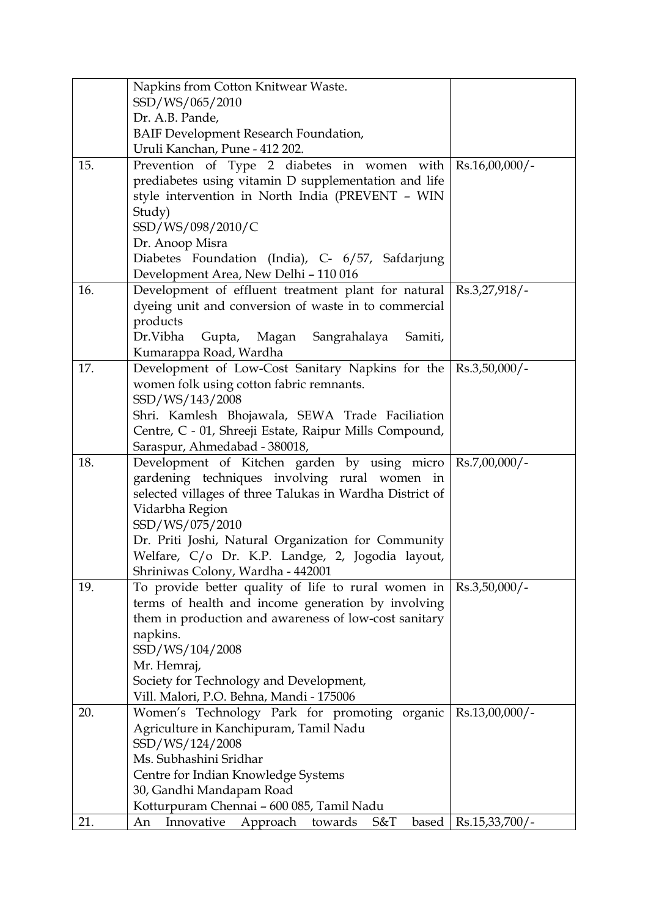|     | Napkins from Cotton Knitwear Waste.                                                                  |                   |
|-----|------------------------------------------------------------------------------------------------------|-------------------|
|     | SSD/WS/065/2010                                                                                      |                   |
|     | Dr. A.B. Pande,                                                                                      |                   |
|     | <b>BAIF Development Research Foundation,</b>                                                         |                   |
|     | Uruli Kanchan, Pune - 412 202.                                                                       |                   |
| 15. | Prevention of Type 2 diabetes in women with<br>prediabetes using vitamin D supplementation and life  | $Rs.16,00,000/$ - |
|     | style intervention in North India (PREVENT - WIN                                                     |                   |
|     | Study)                                                                                               |                   |
|     | SSD/WS/098/2010/C                                                                                    |                   |
|     | Dr. Anoop Misra                                                                                      |                   |
|     | Diabetes Foundation (India), C- 6/57, Safdarjung                                                     |                   |
|     | Development Area, New Delhi - 110 016                                                                |                   |
| 16. | Development of effluent treatment plant for natural                                                  | $Rs.3,27,918/$ -  |
|     | dyeing unit and conversion of waste in to commercial                                                 |                   |
|     | products                                                                                             |                   |
|     | Gupta, Magan Sangrahalaya<br>Dr.Vibha<br>Samiti,                                                     |                   |
|     | Kumarappa Road, Wardha                                                                               |                   |
| 17. | Development of Low-Cost Sanitary Napkins for the Rs.3,50,000/-                                       |                   |
|     | women folk using cotton fabric remnants.                                                             |                   |
|     | SSD/WS/143/2008                                                                                      |                   |
|     | Shri. Kamlesh Bhojawala, SEWA Trade Faciliation                                                      |                   |
|     | Centre, C - 01, Shreeji Estate, Raipur Mills Compound,                                               |                   |
| 18. | Saraspur, Ahmedabad - 380018,<br>Development of Kitchen garden by using micro                        | $Rs.7,00,000/$ -  |
|     | gardening techniques involving rural women in                                                        |                   |
|     | selected villages of three Talukas in Wardha District of                                             |                   |
|     | Vidarbha Region                                                                                      |                   |
|     | SSD/WS/075/2010                                                                                      |                   |
|     | Dr. Priti Joshi, Natural Organization for Community                                                  |                   |
|     | Welfare, C/o Dr. K.P. Landge, 2, Jogodia layout,                                                     |                   |
|     | Shriniwas Colony, Wardha - 442001                                                                    |                   |
| 19. | To provide better quality of life to rural women in                                                  | $Rs.3,50,000/$ -  |
|     | terms of health and income generation by involving                                                   |                   |
|     | them in production and awareness of low-cost sanitary                                                |                   |
|     | napkins.                                                                                             |                   |
|     | SSD/WS/104/2008<br>Mr. Hemraj,                                                                       |                   |
|     | Society for Technology and Development,                                                              |                   |
|     | Vill. Malori, P.O. Behna, Mandi - 175006                                                             |                   |
| 20. | Women's Technology Park for promoting organic                                                        | Rs.13,00,000/-    |
|     | Agriculture in Kanchipuram, Tamil Nadu                                                               |                   |
|     | SSD/WS/124/2008                                                                                      |                   |
|     | Ms. Subhashini Sridhar                                                                               |                   |
|     |                                                                                                      |                   |
|     | Centre for Indian Knowledge Systems                                                                  |                   |
|     | 30, Gandhi Mandapam Road                                                                             |                   |
| 21. | Kotturpuram Chennai - 600 085, Tamil Nadu<br>Innovative<br>towards<br>based<br>Approach<br>S&T<br>An | $Rs.15,33,700/$ - |